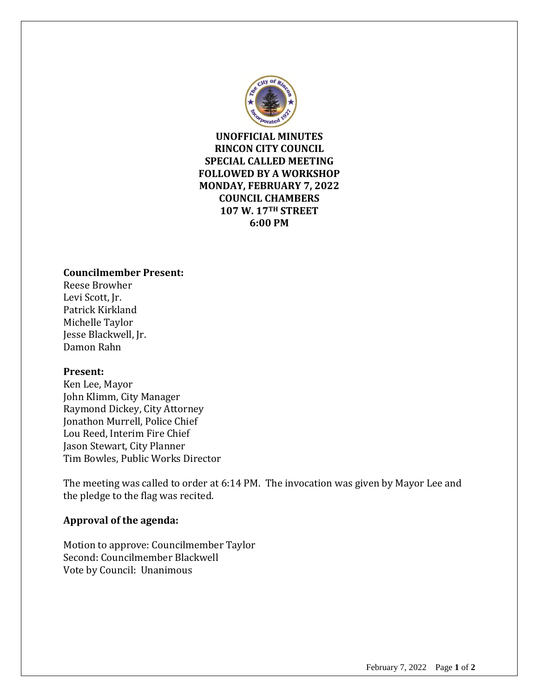

**UNOFFICIAL MINUTES RINCON CITY COUNCIL SPECIAL CALLED MEETING FOLLOWED BY A WORKSHOP MONDAY, FEBRUARY 7, 2022 COUNCIL CHAMBERS 107 W. 17TH STREET 6:00 PM**

## **Councilmember Present:**

Reese Browher Levi Scott, Jr. Patrick Kirkland Michelle Taylor Jesse Blackwell, Jr. Damon Rahn

#### **Present:**

Ken Lee, Mayor John Klimm, City Manager Raymond Dickey, City Attorney Jonathon Murrell, Police Chief Lou Reed, Interim Fire Chief Jason Stewart, City Planner Tim Bowles, Public Works Director

The meeting was called to order at 6:14 PM. The invocation was given by Mayor Lee and the pledge to the flag was recited.

#### **Approval of the agenda:**

Motion to approve: Councilmember Taylor Second: Councilmember Blackwell Vote by Council: Unanimous